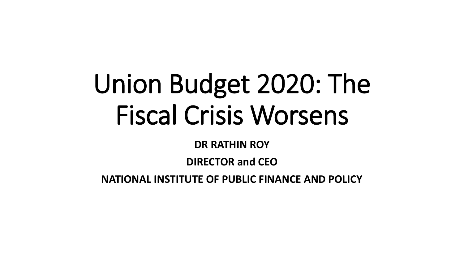# Union Budget 2020: The Fiscal Crisis Worsens

#### **DR RATHIN ROY**

#### **DIRECTOR and CEO**

**NATIONAL INSTITUTE OF PUBLIC FINANCE AND POLICY**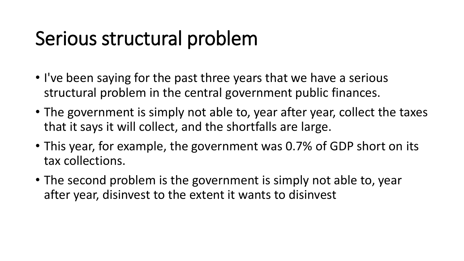- I've been saying for the past three years that we have a serious structural problem in the central government public finances.
- The government is simply not able to, year after year, collect the taxes that it says it will collect, and the shortfalls are large.
- This year, for example, the government was 0.7% of GDP short on its tax collections.
- The second problem is the government is simply not able to, year after year, disinvest to the extent it wants to disinvest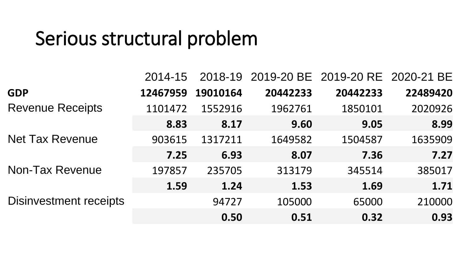|                               | 2014-15  |          |          | 2018-19 2019-20 BE 2019-20 RE 2020-21 BE |          |
|-------------------------------|----------|----------|----------|------------------------------------------|----------|
| <b>GDP</b>                    | 12467959 | 19010164 | 20442233 | 20442233                                 | 22489420 |
| <b>Revenue Receipts</b>       | 1101472  | 1552916  | 1962761  | 1850101                                  | 2020926  |
|                               | 8.83     | 8.17     | 9.60     | 9.05                                     | 8.99     |
| <b>Net Tax Revenue</b>        | 903615   | 1317211  | 1649582  | 1504587                                  | 1635909  |
|                               | 7.25     | 6.93     | 8.07     | 7.36                                     | 7.27     |
| <b>Non-Tax Revenue</b>        | 197857   | 235705   | 313179   | 345514                                   | 385017   |
|                               | 1.59     | 1.24     | 1.53     | 1.69                                     | 1.71     |
| <b>Disinvestment receipts</b> |          | 94727    | 105000   | 65000                                    | 210000   |
|                               |          | 0.50     | 0.51     | 0.32                                     | 0.93     |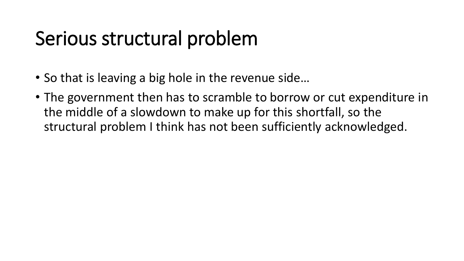- So that is leaving a big hole in the revenue side…
- The government then has to scramble to borrow or cut expenditure in the middle of a slowdown to make up for this shortfall, so the structural problem I think has not been sufficiently acknowledged.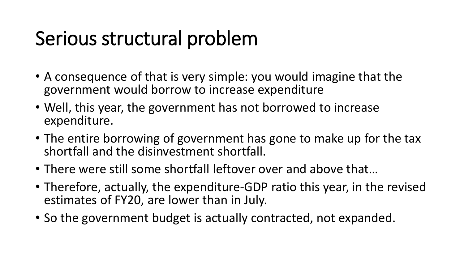- A consequence of that is very simple: you would imagine that the government would borrow to increase expenditure
- Well, this year, the government has not borrowed to increase expenditure.
- The entire borrowing of government has gone to make up for the tax shortfall and the disinvestment shortfall.
- There were still some shortfall leftover over and above that…
- Therefore, actually, the expenditure-GDP ratio this year, in the revised estimates of FY20, are lower than in July.
- So the government budget is actually contracted, not expanded.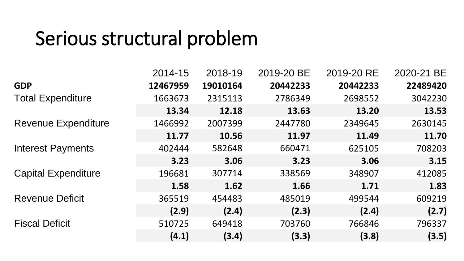|                            | 2014-15  | 2018-19  | 2019-20 BE | 2019-20 RE | 2020-21 BE |
|----------------------------|----------|----------|------------|------------|------------|
| <b>GDP</b>                 | 12467959 | 19010164 | 20442233   | 20442233   | 22489420   |
| <b>Total Expenditure</b>   | 1663673  | 2315113  | 2786349    | 2698552    | 3042230    |
|                            | 13.34    | 12.18    | 13.63      | 13.20      | 13.53      |
| <b>Revenue Expenditure</b> | 1466992  | 2007399  | 2447780    | 2349645    | 2630145    |
|                            | 11.77    | 10.56    | 11.97      | 11.49      | 11.70      |
| <b>Interest Payments</b>   | 402444   | 582648   | 660471     | 625105     | 708203     |
|                            | 3.23     | 3.06     | 3.23       | 3.06       | 3.15       |
| <b>Capital Expenditure</b> | 196681   | 307714   | 338569     | 348907     | 412085     |
|                            | 1.58     | 1.62     | 1.66       | 1.71       | 1.83       |
| <b>Revenue Deficit</b>     | 365519   | 454483   | 485019     | 499544     | 609219     |
|                            | (2.9)    | (2.4)    | (2.3)      | (2.4)      | (2.7)      |
| <b>Fiscal Deficit</b>      | 510725   | 649418   | 703760     | 766846     | 796337     |
|                            | (4.1)    | (3.4)    | (3.3)      | (3.8)      | (3.5)      |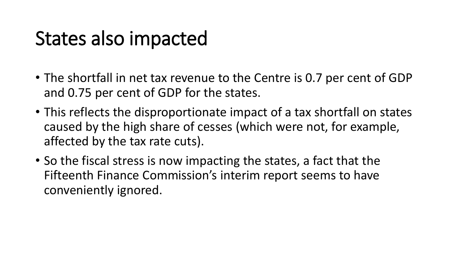### States also impacted

- The shortfall in net tax revenue to the Centre is 0.7 per cent of GDP and 0.75 per cent of GDP for the states.
- This reflects the disproportionate impact of a tax shortfall on states caused by the high share of cesses (which were not, for example, affected by the tax rate cuts).
- So the fiscal stress is now impacting the states, a fact that the Fifteenth Finance Commission's interim report seems to have conveniently ignored.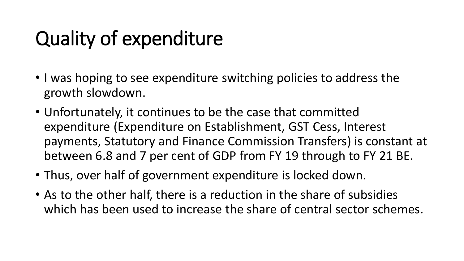# Quality of expenditure

- I was hoping to see expenditure switching policies to address the growth slowdown.
- Unfortunately, it continues to be the case that committed expenditure (Expenditure on Establishment, GST Cess, Interest payments, Statutory and Finance Commission Transfers) is constant at between 6.8 and 7 per cent of GDP from FY 19 through to FY 21 BE.
- Thus, over half of government expenditure is locked down.
- As to the other half, there is a reduction in the share of subsidies which has been used to increase the share of central sector schemes.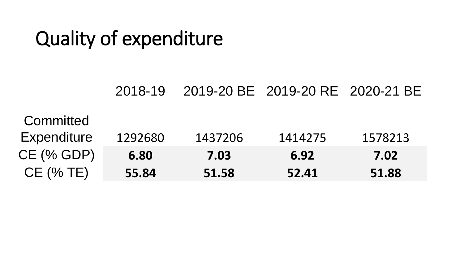# Quality of expenditure

#### 2018-19 2019-20 BE 2019-20 RE 2020-21 BE

#### **Committed** Expenditure 1292680 1437206 1414275 1578213 CE (% GDP) **6.80 7.03 6.92 7.02** CE (% TE) **55.84 51.58 52.41 51.88**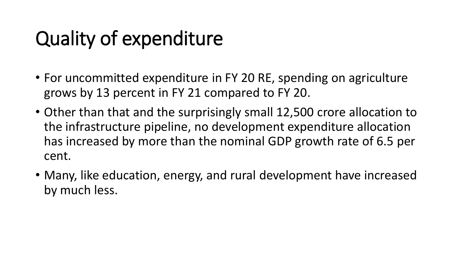# Quality of expenditure

- For uncommitted expenditure in FY 20 RE, spending on agriculture grows by 13 percent in FY 21 compared to FY 20.
- Other than that and the surprisingly small 12,500 crore allocation to the infrastructure pipeline, no development expenditure allocation has increased by more than the nominal GDP growth rate of 6.5 per cent.
- Many, like education, energy, and rural development have increased by much less.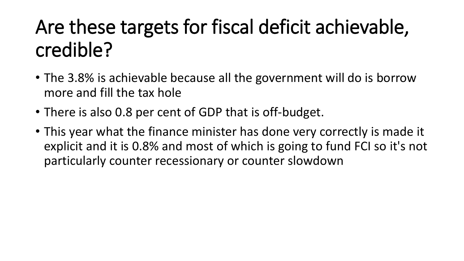# Are these targets for fiscal deficit achievable, credible?

- The 3.8% is achievable because all the government will do is borrow more and fill the tax hole
- There is also 0.8 per cent of GDP that is off-budget.
- This year what the finance minister has done very correctly is made it explicit and it is 0.8% and most of which is going to fund FCI so it's not particularly counter recessionary or counter slowdown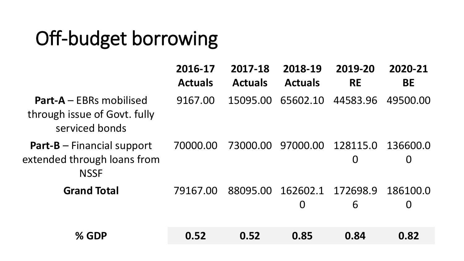# Off-budget borrowing

|                                                                                   | 2016-17<br><b>Actuals</b> | 2017-18<br><b>Actuals</b> | 2018-19<br><b>Actuals</b>                    | 2019-20<br><b>RE</b>       | 2020-21<br><b>BE</b>       |
|-----------------------------------------------------------------------------------|---------------------------|---------------------------|----------------------------------------------|----------------------------|----------------------------|
| <b>Part-A</b> – EBRs mobilised<br>through issue of Govt. fully<br>serviced bonds  | 9167.00                   |                           | 15095.00 65602.10                            | 44583.96                   | 49500.00                   |
| <b>Part-B</b> $-$ Financial support<br>extended through loans from<br><b>NSSF</b> | 70000.00                  | 73000.00                  | 97000.00                                     | 128115.0<br>$\overline{0}$ | 136600.0<br>$\overline{0}$ |
| <b>Grand Total</b>                                                                | 79167.00                  |                           | 88095.00 162602.1 172698.9<br>$\overline{0}$ | 6                          | 186100.0<br>$\overline{0}$ |
| % GDP                                                                             | 0.52                      | 0.52                      | 0.85                                         | 0.84                       | 0.82                       |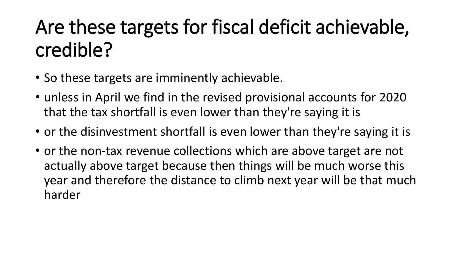# Are these targets for fiscal deficit achievable, credible?

- So these targets are imminently achievable.
- unless in April we find in the revised provisional accounts for 2020 that the tax shortfall is even lower than they're saying it is
- or the disinvestment shortfall is even lower than they're saying it is
- or the non-tax revenue collections which are above target are not actually above target because then things will be much worse this year and therefore the distance to climb next year will be that much harder